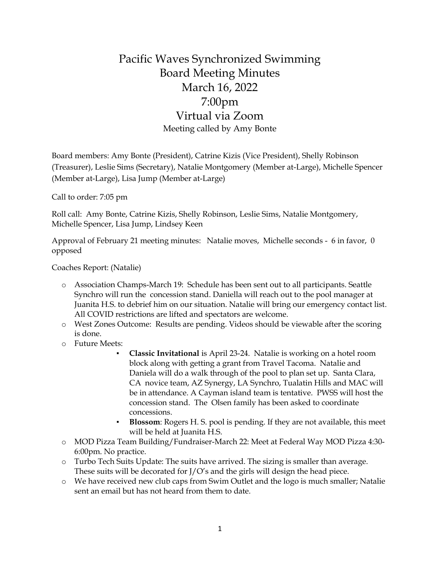## Pacific Waves Synchronized Swimming Board Meeting Minutes March 16, 2022 7:00pm Virtual via Zoom Meeting called by Amy Bonte

Board members: Amy Bonte (President), Catrine Kizis (Vice President), Shelly Robinson (Treasurer), Leslie Sims (Secretary), Natalie Montgomery (Member at-Large), Michelle Spencer (Member at-Large), Lisa Jump (Member at-Large)

Call to order: 7:05 pm

Roll call: Amy Bonte, Catrine Kizis, Shelly Robinson, Leslie Sims, Natalie Montgomery, Michelle Spencer, Lisa Jump, Lindsey Keen

Approval of February 21 meeting minutes: Natalie moves, Michelle seconds - 6 in favor, 0 opposed

Coaches Report: (Natalie)

- o Association Champs-March 19: Schedule has been sent out to all participants. Seattle Synchro will run the concession stand. Daniella will reach out to the pool manager at Juanita H.S. to debrief him on our situation. Natalie will bring our emergency contact list. All COVID restrictions are lifted and spectators are welcome.
- o West Zones Outcome: Results are pending. Videos should be viewable after the scoring is done.
- o Future Meets:
	- **Classic Invitational** is April 23-24. Natalie is working on a hotel room block along with getting a grant from Travel Tacoma. Natalie and Daniela will do a walk through of the pool to plan set up. Santa Clara, CA novice team, AZ Synergy, LA Synchro, Tualatin Hills and MAC will be in attendance. A Cayman island team is tentative. PWSS will host the concession stand. The Olsen family has been asked to coordinate concessions.
	- **Blossom**: Rogers H. S. pool is pending. If they are not available, this meet will be held at Juanita H.S.
- o MOD Pizza Team Building/Fundraiser-March 22: Meet at Federal Way MOD Pizza 4:30- 6:00pm. No practice.
- o Turbo Tech Suits Update: The suits have arrived. The sizing is smaller than average. These suits will be decorated for J/O's and the girls will design the head piece.
- o We have received new club caps from Swim Outlet and the logo is much smaller; Natalie sent an email but has not heard from them to date.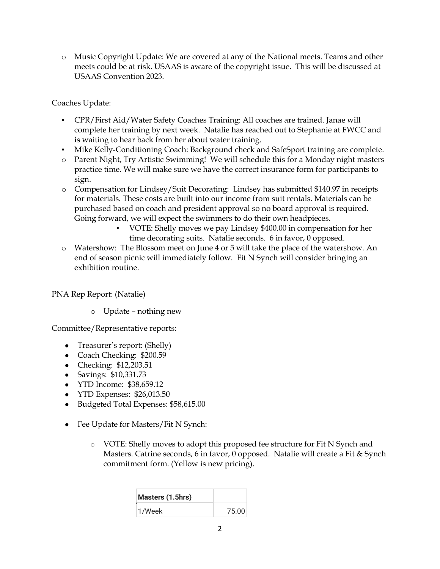o Music Copyright Update: We are covered at any of the National meets. Teams and other meets could be at risk. USAAS is aware of the copyright issue. This will be discussed at USAAS Convention 2023.

## Coaches Update:

- CPR/First Aid/Water Safety Coaches Training: All coaches are trained. Janae will complete her training by next week. Natalie has reached out to Stephanie at FWCC and is waiting to hear back from her about water training.
- Mike Kelly-Conditioning Coach: Background check and SafeSport training are complete.
- o Parent Night, Try Artistic Swimming! We will schedule this for a Monday night masters practice time. We will make sure we have the correct insurance form for participants to sign.
- o Compensation for Lindsey/Suit Decorating: Lindsey has submitted \$140.97 in receipts for materials. These costs are built into our income from suit rentals. Materials can be purchased based on coach and president approval so no board approval is required. Going forward, we will expect the swimmers to do their own headpieces.
	- VOTE: Shelly moves we pay Lindsey \$400.00 in compensation for her time decorating suits. Natalie seconds. 6 in favor, 0 opposed.
- o Watershow: The Blossom meet on June 4 or 5 will take the place of the watershow. An end of season picnic will immediately follow. Fit N Synch will consider bringing an exhibition routine.

PNA Rep Report: (Natalie)

o Update – nothing new

Committee/Representative reports:

- Treasurer's report: (Shelly)
- Coach Checking: \$200.59
- Checking: \$12,203.51
- Savings: \$10,331.73
- YTD Income: \$38,659.12
- YTD Expenses: \$26,013.50
- Budgeted Total Expenses: \$58,615.00
- Fee Update for Masters/Fit N Synch:
	- o VOTE: Shelly moves to adopt this proposed fee structure for Fit N Synch and Masters. Catrine seconds, 6 in favor, 0 opposed. Natalie will create a Fit & Synch commitment form. (Yellow is new pricing).

| Masters (1.5hrs) |       |
|------------------|-------|
| 1/Week           | 75.00 |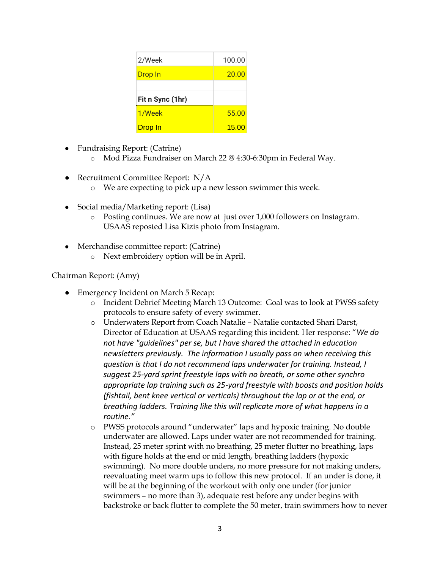| 2/Week           | 100.00 |
|------------------|--------|
| Drop In          | 20.00  |
|                  |        |
|                  |        |
| Fit n Sync (1hr) |        |
| 1/Week           | 55.00  |

- Fundraising Report: (Catrine)
	- o Mod Pizza Fundraiser on March 22 @ 4:30-6:30pm in Federal Way.
- Recruitment Committee Report: N/A
	- o We are expecting to pick up a new lesson swimmer this week.
- Social media/Marketing report: (Lisa)
	- o Posting continues. We are now at just over 1,000 followers on Instagram. USAAS reposted Lisa Kizis photo from Instagram.
- Merchandise committee report: (Catrine)
	- o Next embroidery option will be in April.

## Chairman Report: (Amy)

- Emergency Incident on March 5 Recap:
	- o Incident Debrief Meeting March 13 Outcome: Goal was to look at PWSS safety protocols to ensure safety of every swimmer.
	- o Underwaters Report from Coach Natalie Natalie contacted Shari Darst, Director of Education at USAAS regarding this incident. Her response: "*We do not have "guidelines" per se, but I have shared the attached in education newsletters previously. The information I usually pass on when receiving this question is that I do not recommend laps underwater for training. Instead, I suggest 25-yard sprint freestyle laps with no breath, or some other synchro appropriate lap training such as 25-yard freestyle with boosts and position holds (fishtail, bent knee vertical or verticals) throughout the lap or at the end, or breathing ladders. Training like this will replicate more of what happens in a routine."*
	- o PWSS protocols around "underwater" laps and hypoxic training. No double underwater are allowed. Laps under water are not recommended for training. Instead, 25 meter sprint with no breathing, 25 meter flutter no breathing, laps with figure holds at the end or mid length, breathing ladders (hypoxic swimming). No more double unders, no more pressure for not making unders, reevaluating meet warm ups to follow this new protocol. If an under is done, it will be at the beginning of the workout with only one under (for junior swimmers – no more than 3), adequate rest before any under begins with backstroke or back flutter to complete the 50 meter, train swimmers how to never